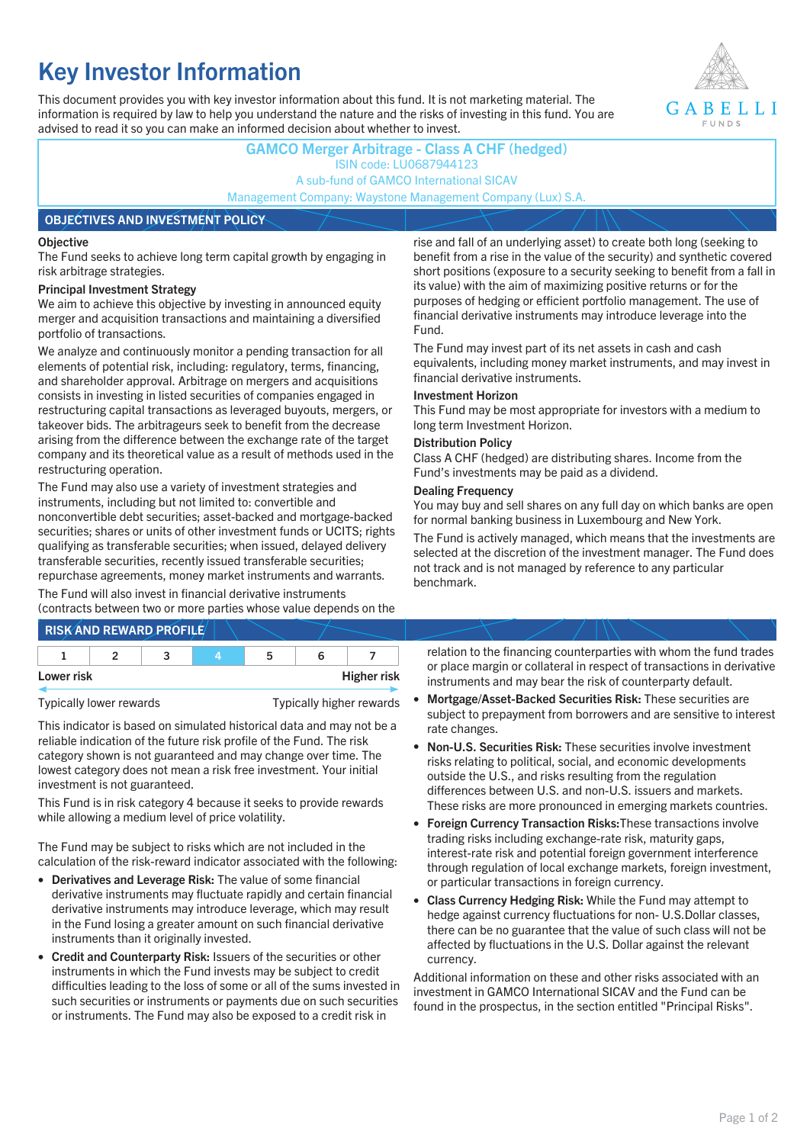# **Key Investor Information**

This document provides you with key investor information about this fund. It is not marketing material. The information is required by law to help you understand the nature and the risks of investing in this fund. You are advised to read it so you can make an informed decision about whether to invest.



## **GAMCO Merger Arbitrage - Class A CHF (hedged)** ISIN code: LU0687944123 A sub-fund of GAMCO International SICAV Management Company: Waystone Management Company (Lux) S.A. **OBJECTIVES AND INVESTMENT POLICY**

#### **Objective**

The Fund seeks to achieve long term capital growth by engaging in risk arbitrage strategies.

#### **Principal Investment Strategy**

We aim to achieve this objective by investing in announced equity merger and acquisition transactions and maintaining a diversified portfolio of transactions.

We analyze and continuously monitor a pending transaction for all elements of potential risk, including: regulatory, terms, financing, and shareholder approval. Arbitrage on mergers and acquisitions consists in investing in listed securities of companies engaged in restructuring capital transactions as leveraged buyouts, mergers, or takeover bids. The arbitrageurs seek to benefit from the decrease arising from the difference between the exchange rate of the target company and its theoretical value as a result of methods used in the restructuring operation.

The Fund may also use a variety of investment strategies and instruments, including but not limited to: convertible and nonconvertible debt securities; asset-backed and mortgage-backed securities; shares or units of other investment funds or UCITS; rights qualifying as transferable securities; when issued, delayed delivery transferable securities, recently issued transferable securities; repurchase agreements, money market instruments and warrants.

The Fund will also invest in financial derivative instruments (contracts between two or more parties whose value depends on the

|            | <b>RISK AND REWARD PROFILE</b> |   |                    |
|------------|--------------------------------|---|--------------------|
|            |                                | ∽ |                    |
| Lower risk |                                |   | <b>Higher risk</b> |

Typically lower rewards Typically higher rewards

This indicator is based on simulated historical data and may not be a reliable indication of the future risk profile of the Fund. The risk category shown is not guaranteed and may change over time. The lowest category does not mean a risk free investment. Your initial investment is not guaranteed.

This Fund is in risk category 4 because it seeks to provide rewards while allowing a medium level of price volatility.

The Fund may be subject to risks which are not included in the calculation of the risk-reward indicator associated with the following:

- **Derivatives and Leverage Risk:** The value of some financial derivative instruments may fluctuate rapidly and certain financial derivative instruments may introduce leverage, which may result in the Fund losing a greater amount on such financial derivative instruments than it originally invested.
- **Credit and Counterparty Risk:** Issuers of the securities or other instruments in which the Fund invests may be subject to credit difficulties leading to the loss of some or all of the sums invested in such securities or instruments or payments due on such securities or instruments. The Fund may also be exposed to a credit risk in

rise and fall of an underlying asset) to create both long (seeking to benefit from a rise in the value of the security) and synthetic covered short positions (exposure to a security seeking to benefit from a fall in its value) with the aim of maximizing positive returns or for the purposes of hedging or efficient portfolio management. The use of financial derivative instruments may introduce leverage into the Fund.

The Fund may invest part of its net assets in cash and cash equivalents, including money market instruments, and may invest in financial derivative instruments.

#### **Investment Horizon**

This Fund may be most appropriate for investors with a medium to long term Investment Horizon.

#### **Distribution Policy**

Class A CHF (hedged) are distributing shares. Income from the Fund's investments may be paid as a dividend.

#### **Dealing Frequency**

You may buy and sell shares on any full day on which banks are open for normal banking business in Luxembourg and New York.

The Fund is actively managed, which means that the investments are selected at the discretion of the investment manager. The Fund does not track and is not managed by reference to any particular benchmark.

relation to the financing counterparties with whom the fund trades or place margin or collateral in respect of transactions in derivative instruments and may bear the risk of counterparty default.

- **Mortgage/Asset-Backed Securities Risk:** These securities are subject to prepayment from borrowers and are sensitive to interest rate changes.
- **Non-U.S. Securities Risk:** These securities involve investment risks relating to political, social, and economic developments outside the U.S., and risks resulting from the regulation differences between U.S. and non-U.S. issuers and markets. These risks are more pronounced in emerging markets countries.
- **Foreign Currency Transaction Risks:**These transactions involve trading risks including exchange-rate risk, maturity gaps, interest-rate risk and potential foreign government interference through regulation of local exchange markets, foreign investment, or particular transactions in foreign currency.
- **Class Currency Hedging Risk:** While the Fund may attempt to hedge against currency fluctuations for non- U.S.Dollar classes, there can be no guarantee that the value of such class will not be affected by fluctuations in the U.S. Dollar against the relevant currency.

Additional information on these and other risks associated with an investment in GAMCO International SICAV and the Fund can be found in the prospectus, in the section entitled "Principal Risks".